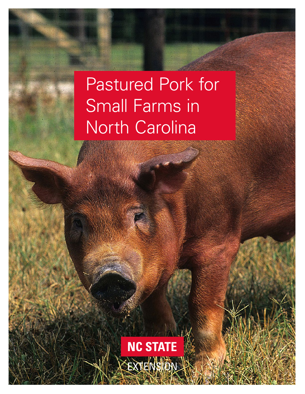# Pastured Pork for Small Farms in North Carolina

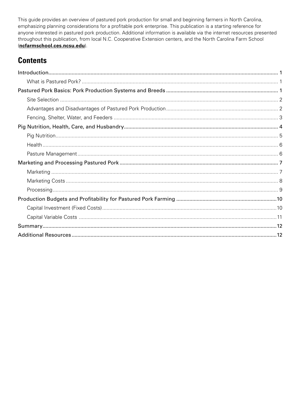This guide provides an overview of pastured pork production for small and beginning farmers in North Carolina, emphasizing planning considerations for a profitable pork enterprise. This publication is a starting reference for anyone interested in pastured pork production. Additional information is available via the internet resources presented throughout this publication, from local N.C. Cooperative Extension centers, and the North Carolina Farm School (**[ncfarmschool.ces.ncsu.edu](https://ncfarmschool.ces.ncsu.edu/)**).

# **Contents**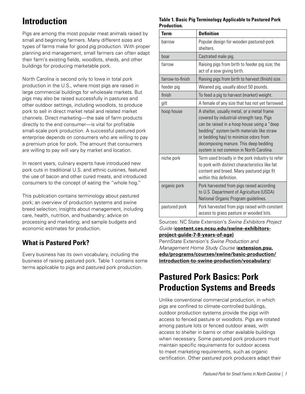# <span id="page-2-0"></span>**Introduction**

Pigs are among the most popular meat animals raised by small and beginning farmers. Many different sizes and types of farms make for good pig production. With proper planning and management, small farmers can often adapt their farm's existing fields, woodlots, sheds, and other buildings for producing marketable pork.

North Carolina is second only to Iowa in total pork production in the U.S., where most pigs are raised in large commercial buildings for wholesale markets. But pigs may also be raised successfully in pastures and other outdoor settings, including woodlots, to produce pork to sell in direct market retail and related market channels. Direct marketing—the sale of farm products directly to the end consumer—is vital for profitable small-scale pork production. A successful pastured pork enterprise depends on consumers who are willing to pay a premium price for pork. The amount that consumers are willing to pay will vary by market and location.

In recent years, culinary experts have introduced new pork cuts in traditional U.S. and ethnic cuisines, featured the use of bacon and other cured meats, and introduced consumers to the concept of eating the "whole hog."

This publication contains terminology about pastured pork; an overview of production systems and swine breed selection; insights about management, including care, health, nutrition, and husbandry; advice on processing and marketing; and sample budgets and economic estimates for production.

# **What is Pastured Pork?**

Every business has its own vocabulary, including the business of raising pastured pork. Table 1 contains some terms applicable to pigs and pastured pork production.

#### **Table 1. Basic Pig Terminology Applicable to Pastured Pork Production.**

| <b>Term</b>      | <b>Definition</b>                                                                                                                                                                                                                                                                                                  |
|------------------|--------------------------------------------------------------------------------------------------------------------------------------------------------------------------------------------------------------------------------------------------------------------------------------------------------------------|
| barrow           | Popular design for wooden pastured-pork<br>shelters                                                                                                                                                                                                                                                                |
| boar             | Castrated male pig.                                                                                                                                                                                                                                                                                                |
| farrow           | Raising pigs from birth to feeder pig size; the<br>act of a sow giving birth.                                                                                                                                                                                                                                      |
| farrow-to-finish | Raising pigs from birth to harvest (finish) size.                                                                                                                                                                                                                                                                  |
| feeder pig       | Weaned pig, usually about 50 pounds.                                                                                                                                                                                                                                                                               |
| finish           | To feed a pig to harvest (market) weight.                                                                                                                                                                                                                                                                          |
| gilt             | A female of any size that has not yet farrowed.                                                                                                                                                                                                                                                                    |
| hoop house       | A shelter, usually metal, or a metal frame<br>covered by industrial-strength tarp. Pigs<br>can be raised in a hoop house using a "deep<br>bedding" system (with materials like straw<br>or bedding hay) to minimize odors from<br>decomposing manure. This deep bedding<br>system is not common in North Carolina. |
| niche pork       | Term used broadly in the pork industry to refer<br>to pork with distinct characteristics like fat<br>content and breed. Many pastured pigs fit<br>within this definition.                                                                                                                                          |
| organic pork     | Pork harvested from pigs raised according<br>to U.S. Department of Agriculture (USDA)<br>National Organic Program guidelines.                                                                                                                                                                                      |
| pastured pork    | Pork harvested from pigs raised with constant<br>access to grass pasture or wooded lots.                                                                                                                                                                                                                           |

Sources: NC State Extension's *Swine Exhibitors Project Guide* (**[content.ces.ncsu.edu/swine-exhibitors](https://content.ces.ncsu.edu/swine-exhibitors-project-guide-7-8-years-of-age)[project-guide-7-8-years-of-age](https://content.ces.ncsu.edu/swine-exhibitors-project-guide-7-8-years-of-age))**

PennState Extension's *Swine Production and Management Home Study Course* (**[extension.psu.](https://extension.psu.edu/programs/courses/swine/basic-production/introduction-to-swine-production/vocabulary) [edu/programs/courses/swine/basic-production/](https://extension.psu.edu/programs/courses/swine/basic-production/introduction-to-swine-production/vocabulary) [introduction-to-swine-production/vocabulary](https://extension.psu.edu/programs/courses/swine/basic-production/introduction-to-swine-production/vocabulary)**)

# **Pastured Pork Basics: Pork Production Systems and Breeds**

Unlike conventional commercial production, in which pigs are confined to climate-controlled buildings, outdoor production systems provide the pigs with access to fenced pasture or woodlots. Pigs are rotated among pasture lots or fenced outdoor areas, with access to shelter in barns or other available buildings when necessary. Some pastured pork producers must maintain specific requirements for outdoor access to meet marketing requirements, such as organic certification. Other pastured pork producers adapt their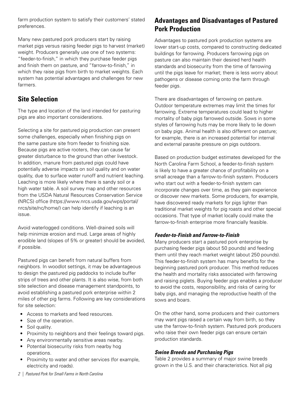<span id="page-3-0"></span>farm production system to satisfy their customers' stated preferences.

Many new pastured pork producers start by raising market pigs versus raising feeder pigs to harvest (market) weight. Producers generally use one of two systems: "feeder-to-finish," in which they purchase feeder pigs and finish them on pasture, and "farrow-to-finish," in which they raise pigs from birth to market weights. Each system has potential advantages and challenges for new farmers.

### **Site Selection**

The type and location of the land intended for pasturing pigs are also important considerations.

Selecting a site for pastured pig production can present some challenges, especially when finishing pigs on the same pasture site from feeder to finishing size. Because pigs are active rooters, they can cause far greater disturbance to the ground than other livestock. In addition, manure from pastured pigs could have potentially adverse impacts on soil quality and on water quality, due to surface water runoff and nutrient leaching. Leaching is more likely where there is sandy soil or a high water table. A soil survey map and other resources from the USDA Natural Resources Conservation Service (NRCS) office (https://www.nrcs.usda.gov/wps/portal/ nrcs/site/nc/home/) can help identify if leaching is an issue.

Avoid waterlogged conditions. Well-drained soils will help minimize erosion and mud. Large areas of highly erodible land (slopes of 5% or greater) should be avoided, if possible.

Pastured pigs can benefit from natural buffers from neighbors. In woodlot settings, it may be advantageous to design the pastured pig paddocks to include buffer strips of trees and other plants. It is also wise, from both site selection and disease management standpoints, to avoid establishing a pastured pork enterprise within 2 miles of other pig farms. Following are key considerations for site selection:

- Access to markets and feed resources.
- Size of the operation.
- Soil quality.
- Proximity to neighbors and their feelings toward pigs.
- Any environmentally sensitive areas nearby.
- Potential biosecurity risks from nearby hog operations.
- Proximity to water and other services (for example, electricity and roads).

# **Advantages and Disadvantages of Pastured Pork Production**

Advantages to pastured pork production systems are lower start-up costs, compared to constructing dedicated buildings for farrowing. Producers farrowing pigs on pasture can also maintain their desired herd health standards and biosecurity from the time of farrowing until the pigs leave for market; there is less worry about pathogens or disease coming onto the farm through feeder pigs.

There are disadvantages of farrowing on pasture. Outdoor temperature extremes may limit the times for farrowing. Extreme temperatures could lead to higher mortality of baby pigs farrowed outside. Sows in some styles of farrowing huts may be more likely to lie down on baby pigs. Animal health is also different on pasture; for example, there is an increased potential for internal and external parasite pressure on pigs outdoors.

Based on production budget estimates developed for the North Carolina Farm School, a feeder-to-finish system is likely to have a greater chance of profitability on a small acreage than a farrow-to-finish system. Producers who start out with a feeder-to-finish system can incorporate changes over time, as they gain experience or discover new markets. Some producers, for example, have discovered ready markets for pigs lighter than traditional market weights for pig roasts and other special occasions. That type of market locally could make the farrow-to-finish enterprise more financially feasible.

#### *Feeder-to-Finish and Farrow-to-Finish*

Many producers start a pastured pork enterprise by purchasing feeder pigs (about 50 pounds) and feeding them until they reach market weight (about 250 pounds). This feeder-to-finish system has many benefits for the beginning pastured pork producer. This method reduces the health and mortality risks associated with farrowing and raising piglets. Buying feeder pigs enables a producer to avoid the costs, responsibility, and risks of caring for baby pigs, and managing the reproductive health of the sows and boars.

On the other hand, some producers and their customers may want pigs raised a certain way from birth, so they use the farrow-to-finish system. Pastured pork producers who raise their own feeder pigs can ensure certain production standards.

### *Swine Breeds and Purchasing Pigs*

Table 2 provides a summary of major swine breeds grown in the U.S. and their characteristics. Not all pig

*2 | Pastured Pork for Small Farms in North Carolina*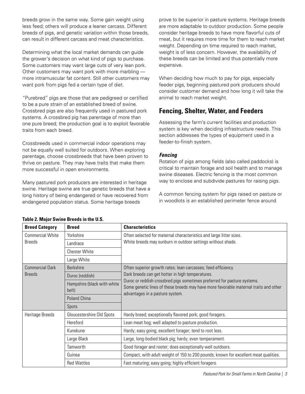<span id="page-4-0"></span>breeds grow in the same way. Some gain weight using less feed; others will produce a leaner carcass. Different breeds of pigs, and genetic variation within those breeds, can result in different carcass and meat characteristics.

Determining what the local market demands can guide the grower's decision on what kind of pigs to purchase. Some customers may want large cuts of very lean pork. Other customers may want pork with more marbling more intramuscular fat content. Still other customers may want pork from pigs fed a certain type of diet.

"Purebred" pigs are those that are pedigreed or certified to be a pure strain of an established breed of swine. Crossbred pigs are also frequently used in pastured pork systems. A crossbred pig has parentage of more than one pure breed; the production goal is to exploit favorable traits from each breed.

Crossbreeds used in commercial indoor operations may not be equally well suited for outdoors. When exploring parentage, choose crossbreeds that have been proven to thrive on pasture. They may have traits that make them more successful in open environments.

Many pastured pork producers are interested in heritage swine. Heritage swine are true genetic breeds that have a long history of being endangered or have recovered from endangered population status. Some heritage breeds

prove to be superior in pasture systems. Heritage breeds are more adaptable to outdoor production. Some people consider heritage breeds to have more flavorful cuts of meat, but it requires more time for them to reach market weight. Depending on time required to reach market, weight is of less concern. However, the availability of these breeds can be limited and thus potentially more expensive.

When deciding how much to pay for pigs, especially feeder pigs, beginning pastured pork producers should consider customer demand and how long it will take the animal to reach market weight.

# **Fencing, Shelter, Water, and Feeders**

Assessing the farm's current facilities and production system is key when deciding infrastructure needs. This section addresses the types of equipment used in a feeder-to-finish system.

#### *Fencing*

Rotation of pigs among fields (also called paddocks) is critical to maintain forage and soil health and to manage swine diseases. Electric fencing is the most common way to enclose and subdivide pastures for raising pigs.

A common fencing system for pigs raised on pasture or in woodlots is an established perimeter fence around

| <b>Breed Category</b>   | <b>Breed</b>                         | <b>Characteristics</b>                                                                                                                                                                              |
|-------------------------|--------------------------------------|-----------------------------------------------------------------------------------------------------------------------------------------------------------------------------------------------------|
| <b>Commercial White</b> | Yorkshire                            | Often selected for maternal characteristics and large litter sizes.                                                                                                                                 |
| <b>Breeds</b>           | Landrace                             | White breeds may sunburn in outdoor settings without shade.                                                                                                                                         |
|                         | <b>Chester White</b>                 |                                                                                                                                                                                                     |
|                         | Large White                          |                                                                                                                                                                                                     |
| <b>Commercial Dark</b>  | <b>Berkshire</b>                     | Often superior growth rates; lean carcasses; feed efficiency.                                                                                                                                       |
| <b>Breeds</b>           | Duroc (reddish)                      | Dark breeds can get hotter in high temperatures.                                                                                                                                                    |
|                         | Hampshire (black with white<br>belt) | Duroc or reddish crossbred pigs sometimes preferred for pasture systems.<br>Some genetic lines of these breeds may have more favorable maternal traits and other<br>advantages in a pasture system. |
|                         | Poland China                         |                                                                                                                                                                                                     |
|                         | Spots                                |                                                                                                                                                                                                     |
| Heritage Breeds         | Gloucestershire Old Spots            | Hardy breed; exceptionally flavored pork; good foragers.                                                                                                                                            |
|                         | Hereford                             | Lean meat hog; well adapted to pasture production.                                                                                                                                                  |
|                         | Kunekune                             | Hardy; easy going; excellent forager; tend to root less.                                                                                                                                            |
|                         | Large Black                          | Large, long-bodied black pig; hardy; even temperament.                                                                                                                                              |
|                         | Tamworth                             | Good forager and rooter; does exceptionally well outdoors.                                                                                                                                          |
|                         | Guinea                               | Compact, with adult weight of 150 to 200 pounds; known for excellent meat qualities.                                                                                                                |
|                         | <b>Red Wattles</b>                   | Fast maturing; easy going; highly efficient foragers.                                                                                                                                               |

#### **Table 2. Major Swine Breeds in the U.S.**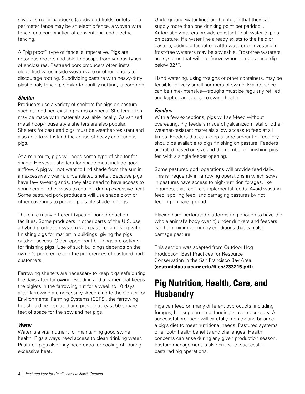<span id="page-5-0"></span>several smaller paddocks (subdivided fields) or lots. The perimeter fence may be an electric fence, a woven wire fence, or a combination of conventional and electric fencing.

A "pig proof" type of fence is imperative. Pigs are notorious rooters and able to escape from various types of enclosures. Pastured pork producers often install electrified wires inside woven wire or other fences to discourage rooting. Subdividing pasture with heavy-duty plastic poly fencing, similar to poultry netting, is common.

#### *Shelter*

Producers use a variety of shelters for pigs on pasture, such as modified existing barns or sheds. Shelters often may be made with materials available locally. Galvanized metal hoop-house style shelters are also popular. Shelters for pastured pigs must be weather-resistant and also able to withstand the abuse of heavy and curious pigs.

At a minimum, pigs will need some type of shelter for shade. However, shelters for shade must include good airflow. A pig will not want to find shade from the sun in an excessively warm, unventilated shelter. Because pigs have few sweat glands, they also need to have access to sprinklers or other ways to cool off during excessive heat. Some pastured pork producers will use shade cloth or other coverings to provide portable shade for pigs.

There are many different types of pork production facilities. Some producers in other parts of the U.S. use a hybrid production system with pasture farrowing with finishing pigs for market in buildings, giving the pigs outdoor access. Older, open-front buildings are options for finishing pigs. Use of such buildings depends on the owner's preference and the preferences of pastured pork customers.

Farrowing shelters are necessary to keep pigs safe during the days after farrowing. Bedding and a barrier that keeps the piglets in the farrowing hut for a week to 10 days after farrowing are necessary. According to the Center for Environmental Farming Systems (CEFS), the farrowing hut should be insulated and provide at least 50 square feet of space for the sow and her pigs.

#### *Water*

Water is a vital nutrient for maintaining good swine health. Pigs always need access to clean drinking water. Pastured pigs also may need extra for cooling off during excessive heat.

Underground water lines are helpful, in that they can supply more than one drinking point per paddock. Automatic waterers provide constant fresh water to pigs on pasture. If a water line already exists to the field or pasture, adding a faucet or cattle waterer or investing in frost-free waterers may be advisable. Frost-free waterers are systems that will not freeze when temperatures dip below 32°F.

Hand watering, using troughs or other containers, may be feasible for very small numbers of swine. Maintenance can be time-intensive—troughs must be regularly refilled and kept clean to ensure swine health.

#### *Feeders*

With a few exceptions, pigs will self-feed without overeating. Pig feeders made of galvanized metal or other weather-resistant materials allow access to feed at all times. Feeders that can keep a large amount of feed dry should be available to pigs finishing on pasture. Feeders are rated based on size and the number of finishing pigs fed with a single feeder opening.

Some pastured pork operations will provide feed daily. This is frequently in farrowing operations in which sows in pastures have access to high-nutrition forages, like legumes, that require supplemental feeds. Avoid wasting feed, spoiling feed, and damaging pastures by not feeding on bare ground.

Placing hard-perforated platforms (big enough to have the whole animal's body over it) under drinkers and feeders can help minimize muddy conditions that can also damage pasture.

This section was adapted from Outdoor Hog Production: Best Practices for Resource Conservation in the San Francisco Bay Area (**[cestanislaus.ucanr.edu/files/233215.pdf](http://cestanislaus.ucanr.edu/files/233215.pdf)**).

# **Pig Nutrition, Health, Care, and Husbandry**

Pigs can feed on many different byproducts, including forages, but supplemental feeding is also necessary. A successful producer will carefully monitor and balance a pig's diet to meet nutritional needs. Pastured systems offer both health benefits and challenges. Health concerns can arise during any given production season. Pasture management is also critical to successful pastured pig operations.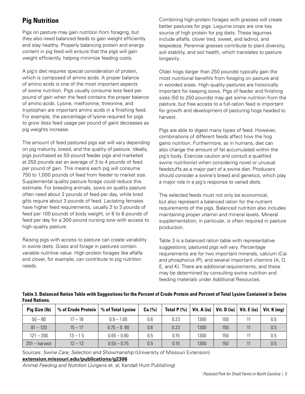# <span id="page-6-0"></span>**Pig Nutrition**

Pigs on pasture may gain nutrition from foraging, but they also need balanced feeds to gain weight efficiently and stay healthy. Properly balancing protein and energy content in pig feed will ensure that the pigs will gain weight efficiently, helping minimize feeding costs.

A pig's diet requires special consideration of protein, which is composed of amino acids. A proper balance of amino acids is one of the most important aspects of swine nutrition. Pigs usually consume less feed per pound of gain when the feed contains the proper balance of amino acids. Lysine, methionine, threonine, and tryptophan are important amino acids in a finishing feed. For example, the percentage of lysine required for pigs to grow (less feed usage per pound of gain) decreases as pig weights increase.

The amount of feed pastured pigs eat will vary depending on pig maturity, breed, and the quality of pasture. Ideally, pigs purchased as 50-pound feeder pigs and marketed at 250 pounds eat an average of 3 to 4 pounds of feed per pound of gain. This means each pig will consume 750 to 1,000 pounds of feed from feeder to market size. Supplemental quality pasture forage could reduce this estimate. For breeding animals, sows on quality pasture often need about 2 pounds of feed per day, while bred gilts require about 3 pounds of feed. Lactating females have higher feed requirements, usually 2 to 3 pounds of feed per 100 pounds of body weight, or 6 to 8 pounds of feed per day for a 300-pound nursing sow with access to high-quality pasture.

Raising pigs with access to pasture can create variability in swine diets. Grass and forage in pastures contain variable nutritive value. High-protein forages like alfalfa and clover, for example, can contribute to pig nutrition needs.

Combining high-protein forages with grasses will create better pastures for pigs. Legume crops are one key source of high protein for pig diets. These legumes include alfalfa, clover (red, sweet, and ladino), and lespedeza. Perennial grasses contribute to plant diversity, soil stability, and soil health, which translates to pasture longevity.

Older hogs (larger than 250 pounds) typically gain the most nutritional benefits from foraging on pasture and in wooded areas. High-quality pastures are historically important for keeping sows. Pigs of feeder and finishing sizes (50 to 250 pounds) may get some nutrition from the pasture, but free access to a full-ration feed is important for growth and development of pasturing hogs headed to harvest.

Pigs are able to digest many types of feed. However, combinations of different feeds affect how the hog gains nutrition. Furthermore, as in humans, diet can also change the amount of fat accumulated within the pig's body. Exercise caution and consult a qualified swine nutritionist when considering novel or unusual feedstuffs as a major part of a swine diet. Producers should consider a swine's breed and genetics, which play a major role in a pig's response to varied diets.

The selected feeds must not only be economical, but also represent a balanced ration for the nutrient requirements of the pigs. Balanced nutrition also includes maintaining proper vitamin and mineral levels. Mineral supplementation, in particular, is often required in pasture production.

Table 3 is a balanced ration table with representative suggestions; pastured pigs will vary. Percentage requirements are for two important minerals, calcium (Ca) and phosphorus (P), and several important vitamins (A, D, E, and K). There are additional requirements, and these may be determined by consulting swine nutrition and feeding materials under Additional Resources.

|                      | Table 3. Balanced Ration Table with Suggestions for the Percent of Crude Protein and Percent of Total Lysine Contained in Swine |  |  |  |  |
|----------------------|---------------------------------------------------------------------------------------------------------------------------------|--|--|--|--|
| <b>Feed Rations.</b> |                                                                                                                                 |  |  |  |  |
|                      |                                                                                                                                 |  |  |  |  |

| Pig Size (Ib)   | % of Crude Protein | % of Total Lysine | Ca (%) | Total $P(\% )$ | Vit. A (iu) | Vit. D (iu) | Vit. E (iu) | Vit. $K$ (mg) |
|-----------------|--------------------|-------------------|--------|----------------|-------------|-------------|-------------|---------------|
| $50 - 80$       | $17 - 18$          | $0.9 - 1.05$      | 0.6    | 0.23           | 1300        | 150         |             | 0.5           |
| $81 - 120$      | $15 - 17$          | $0.75 - 0.90$     | 0.6    | 0.23           | 1300        | 150         |             | 0.5           |
| $121 - 200$     | $13 - 15$          | $0.65 - 0.80$     | 0.5    | 0.15           | 1300        | 150         |             | 0.5           |
| $201 -$ harvest | $12 - 13$          | $0.55 - 0.75$     | 0.5    | 0.15           | 1300        | 150         |             | 0.5           |

Sources: *Swine Care, Selection and Showmanship* (University of Missouri Extension)

#### **[extension.missouri.edu/publications/g2306](https://extension.missouri.edu/publications/g2306)**

*Animal Feeding and Nutrition* (Jurgens et. al; Kendall Hunt Publishing)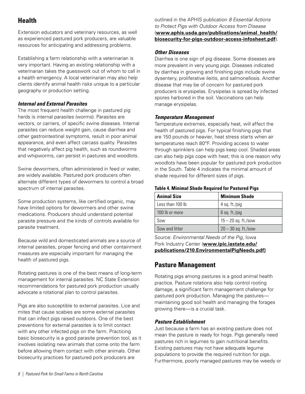# <span id="page-7-0"></span>**Health**

Extension educators and veterinary resources, as well as experienced pastured pork producers, are valuable resources for anticipating and addressing problems.

Establishing a farm relationship with a veterinarian is very important. Having an existing relationship with a veterinarian takes the guesswork out of whom to call in a health emergency. A local veterinarian may also help clients identify animal health risks unique to a particular geography or production setting.

#### *Internal and External Parasites*

The most frequent health challenge in pastured pig herds is internal parasites (worms). Parasites are vectors, or carriers, of specific swine diseases. Internal parasites can reduce weight gain, cause diarrhea and other gastrointestinal symptoms, result in poor animal appearance, and even affect carcass quality. Parasites that negatively affect pig health, such as roundworms and whipworms, can persist in pastures and woodlots.

Swine dewormers, often administered in feed or water, are widely available. Pastured pork producers often alternate different types of dewormers to control a broad spectrum of internal parasites.

Some production systems, like certified organic, may have limited options for dewormers and other swine medications. Producers should understand potential parasite pressure and the kinds of controls available for parasite treatment.

Because wild and domesticated animals are a source of internal parasites, proper fencing and other containment measures are especially important for managing the health of pastured pigs.

Rotating pastures is one of the best means of long-term management for internal parasites. NC State Extension recommendations for pastured pork production usually advocate a rotational plan to control parasites.

Pigs are also susceptible to external parasites. Lice and mites that cause scabies are some external parasites that can infect pigs raised outdoors. One of the best preventions for external parasites is to limit contact with any other infected pigs on the farm. Practicing basic biosecurity is a good parasite prevention tool, as it involves isolating new animals that come onto the farm before allowing them contact with other animals. Other biosecurity practices for pastured pork producers are

outlined in the APHIS publication *8 Essential Actions to Protect Pigs with Outdoor Access from Disease* (**[www.aphis.usda.gov/publications/animal\\_health/](https://www.aphis.usda.gov/publications/animal_health/biosecurity-for-pigs-outdoor-access-infosheet.pdf) [biosecurity-for-pigs-outdoor-access-infosheet.pdf](https://www.aphis.usda.gov/publications/animal_health/biosecurity-for-pigs-outdoor-access-infosheet.pdf)**).

#### *Other Diseases*

Diarrhea is one sign of pig disease. Some diseases are more prevalent in very young pigs. Diseases indicated by diarrhea in growing and finishing pigs include swine dysentery, proliferative ileitis, and salmonellosis. Another disease that may be of concern for pastured pork producers is erysipelas. Erysipelas is spread by infected spores harbored in the soil. Vaccinations can help manage erysipelas.

#### *Temperature Management*

Temperature extremes, especially heat, will affect the health of pastured pigs. For typical finishing pigs that are 150 pounds or heavier, heat stress starts when air temperatures reach 80ºF. Providing access to water through sprinklers can help pigs keep cool. Shaded areas can also help pigs cope with heat; this is one reason why woodlots have been popular for pastured pork production in the South. Table 4 indicates the minimal amount of shade required for different sizes of pigs.

#### **Table 4. Minimal Shade Required for Pastured Pigs**

| <b>Animal Size</b> | <b>Minimum Shade</b>  |
|--------------------|-----------------------|
| Less than 100 lb   | 4 sq. $ft./pig$       |
| 100 lb or more     | $6$ sq. ft./pig       |
| Sow                | $15 - 20$ sq. ft./sow |
| Sow and litter     | $20 - 30$ sq. ft./sow |

Source: *Environmental Needs of the Pig*, Iowa Pork Industry Center (**[www.ipic.iastate.edu/](https://www.ipic.iastate.edu/publications/210.EnvironmentalPigNeeds.pdf) [publications/210.EnvironmentalPigNeeds.pdf](https://www.ipic.iastate.edu/publications/210.EnvironmentalPigNeeds.pdf))**

### **Pasture Management**

Rotating pigs among pastures is a good animal health practice. Pasture rotations also help control rooting damage, a significant farm management challenge for pastured pork production. Managing the pastures maintaining good soil health and managing the forages growing there—is a crucial task.

#### *Pasture Establishment*

Just because a farm has an existing pasture does not mean the pasture is ready for hogs. Pigs generally need pastures rich in legumes to gain nutritional benefits. Existing pastures may not have adequate legume populations to provide the required nutrition for pigs. Furthermore, poorly managed pastures may be weedy or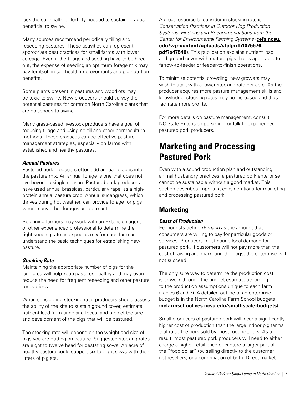<span id="page-8-0"></span>lack the soil health or fertility needed to sustain forages beneficial to swine.

Many sources recommend periodically tilling and reseeding pastures. These activities can represent appropriate best practices for small farms with lower acreage. Even if the tillage and seeding have to be hired out, the expense of seeding an optimum forage mix may pay for itself in soil health improvements and pig nutrition benefits.

Some plants present in pastures and woodlots may be toxic to swine. New producers should survey the potential pastures for common North Carolina plants that are poisonous to swine.

Many grass-based livestock producers have a goal of reducing tillage and using no-till and other permaculture methods. These practices can be effective pasture management strategies, especially on farms with established and healthy pastures.

#### *Annual Pastures*

Pastured pork producers often add annual forages into the pasture mix. An annual forage is one that does not live beyond a single season. Pastured pork producers have used annual brassicas, particularly rape, as a highprotein annual pasture crop. Annual sudangrass, which thrives during hot weather, can provide forage for pigs when many other forages are dormant.

Beginning farmers may work with an Extension agent or other experienced professional to determine the right seeding rate and species mix for each farm and understand the basic techniques for establishing new pasture.

#### *Stocking Rate*

Maintaining the appropriate number of pigs for the land area will help keep pastures healthy and may even reduce the need for frequent reseeding and other pasture renovations.

When considering stocking rate, producers should assess the ability of the site to sustain ground cover, estimate nutrient load from urine and feces, and predict the size and development of the pigs that will be pastured.

The stocking rate will depend on the weight and size of pigs you are putting on pasture. Suggested stocking rates are eight to twelve head for gestating sows. An acre of healthy pasture could support six to eight sows with their litters of piglets.

A great resource to consider in stocking rate is *Conservation Practices in Outdoor Hog Production Systems: Findings and Recommendations from the Center for Environmental Farming Systems* (**[cefs.ncsu.](https://cefs.ncsu.edu/wp-content/uploads/stelprdb1075576.pdf?x47549) [edu/wp-content/uploads/stelprdb1075576.](https://cefs.ncsu.edu/wp-content/uploads/stelprdb1075576.pdf?x47549) [pdf?x47549](https://cefs.ncsu.edu/wp-content/uploads/stelprdb1075576.pdf?x47549))**. This publication explains nutrient load and ground cover with mature pigs that is applicable to farrow-to-feeder or feeder-to-finish operations.

To minimize potential crowding, new growers may wish to start with a lower stocking rate per acre. As the producer acquires more pasture management skills and knowledge, stocking rates may be increased and thus facilitate more profits.

For more details on pasture management, consult NC State Extension personnel or talk to experienced pastured pork producers.

# **Marketing and Processing Pastured Pork**

Even with a sound production plan and outstanding animal husbandry practices, a pastured pork enterprise cannot be sustainable without a good market. This section describes important considerations for marketing and processing pastured pork.

### **Marketing**

#### *Costs of Production*

Economists define *demand* as the amount that consumers are willing to pay for particular goods or services. Producers must gauge local demand for pastured pork. If customers will not pay more than the cost of raising and marketing the hogs, the enterprise will not succeed.

The only sure way to determine the production cost is to work through the budget estimate according to the production assumptions unique to each farm (Tables 6 and 7). A detailed outline of an enterprise budget is in the North Carolina Farm School budgets (**[ncfarmschool.ces.ncsu.edu/small-scale-budgets](https://ncfarmschool.ces.ncsu.edu/small-scale-budgets/)**).

Small producers of pastured pork will incur a significantly higher cost of production than the large indoor pig farms that raise the pork sold by most food retailers. As a result, most pastured pork producers will need to either charge a higher retail price or capture a larger part of the "food dollar" (by selling directly to the customer, not resellers) or a combination of both. Direct market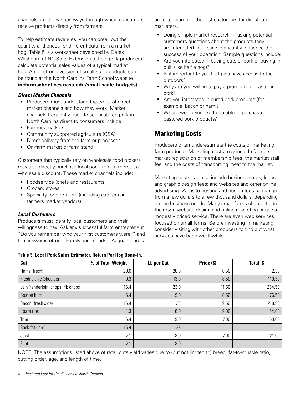<span id="page-9-0"></span>channels are the various ways through which consumers receive products directly from farmers.

To help estimate revenues, you can break out the quantity and prices for different cuts from a market hog. Table 5 is a worksheet developed by Derek Washburn of NC State Extension to help pork producers calculate potential sales values of a typical market hog. An electronic version of small-scale budgets can be found at the North Carolina Farm School website (**[ncfarmschool.ces.ncsu.edu/small-scale-budgets](https://ncfarmschool.ces.ncsu.edu/small-scale-budgets/))**.

#### *Direct Market Channels*

- Producers must understand the types of direct market channels and how they work. Market channels frequently used to sell pastured pork in North Carolina direct to consumers include:
- Farmers markets
- Community supported agriculture (CSA)
- Direct delivery from the farm or processor
- On-farm market or farm stand

Customers that typically rely on wholesale food brokers may also directly purchase local pork from farmers at a wholesale discount. These market channels include:

- Foodservice (chefs and restaurants)
- Grocery stores
- Specialty food retailers (including caterers and farmers market vendors)

#### *Local Customers*

Producers must identify local customers and their willingness to pay. Ask any successful farm entrepreneur, "Do you remember who your first customers were?" and the answer is often: "Family and friends." Acquaintances

|  | Table 5. Local Pork Sales Estimator, Return Per Hog Bone-In. |  |
|--|--------------------------------------------------------------|--|
|  |                                                              |  |

are often some of the first customers for direct farm marketers.

- Doing simple market research asking potential customers questions about the products they are interested in — can significantly influence the success of your operation. Sample questions include:
- Are you interested in buying cuts of pork or buying in bulk (like half a hog)?
- Is it important to you that pigs have access to the outdoors?
- Why are you willing to pay a premium for pastured pork?
- Are you interested in cured pork products (for example, bacon or ham)?
- Where would you like to be able to purchase pastured pork products?

# **Marketing Costs**

Producers often underestimate the costs of marketing farm products. Marketing costs may include farmers market registration or membership fees, the market stall fee, and the costs of transporting meat to the market.

Marketing costs can also include business cards; logos and graphic design fees; and websites and other online advertising. Website hosting and design fees can range from a few dollars to a few thousand dollars, depending on the business needs. Many small farms choose to do their own website design and online marketing or use a modestly priced service. There are even web services focused on small farms. Before investing in marketing, consider visiting with other producers to find out what services have been worthwhile.

| Cut                                | % of Total Weight | Lb per Cut | Price (\$) | Total (\$) |
|------------------------------------|-------------------|------------|------------|------------|
| Hams (fresh)                       | 20.0              | 28.0       | 8.50       | 2.38       |
| Fresh picnic (shoulder)            | 9.3               | 13.0       | 8.50       | 110.50     |
| Loin (tenderloin, chops, rib chops | 16.4              | 23.0       | 11.50      | 264.50     |
| Boston butt                        | 6.4               | 9.0        | 8.50       | 76.50      |
| Bacon (fresh side)                 | 16.4              | 23         | 9.50       | 218.50     |
| Spare ribs                         | 4.3               | 6.0        | 9.00       | 54.00      |
| Trim                               | 6.4               | 9.0        | 7.00       | 63.00      |
| Back fat (lard)                    | 16.4              | 23         |            |            |
| Jowl                               | 2.1               | 3.0        | 7.00       | 21.00      |
| Feet                               | 2.1               | 3.0        |            |            |

NOTE: The assumptions listed above of retail cuts yield varies due to (but not limited to) breed, fat-to-muscle ratio, cutting order, age, and length of time.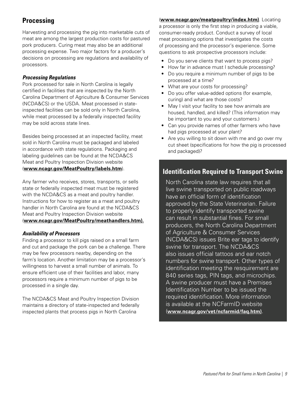# <span id="page-10-0"></span>**Processing**

Harvesting and processing the pig into marketable cuts of meat are among the largest production costs for pastured pork producers. Curing meat may also be an additional processing expense. Two major factors for a producer's decisions on processing are regulations and availability of processors.

#### *Processing Regulations*

Pork processed for sale in North Carolina is legally certified in facilities that are inspected by the North Carolina Department of Agriculture & Consumer Services (NCDA&CS) or the USDA. Meat processed in stateinspected facilities can be sold only in North Carolina, while meat processed by a federally inspected facility may be sold across state lines.

Besides being processed at an inspected facility, meat sold in North Carolina must be packaged and labeled in accordance with state regulations. Packaging and labeling guidelines can be found at the NCDA&CS Meat and Poultry Inspection Division website (**[www.ncagr.gov/MeatPoultry/labels.htm](https://www.ncagr.gov/MeatPoultry/labels.htm)**).

Any farmer who receives, stores, transports, or sells state or federally inspected meat must be registered with the NCDA&CS as a meat and poultry handler. Instructions for how to register as a meat and poultry handler in North Carolina are found at the NCDA&CS Meat and Poultry Inspection Division website (**[www.ncagr.gov/MeatPoultry/meathandlers.htm\)](https://www.ncagr.gov/MeatPoultry/meathandlers.htm).**

#### *Availability of Processors*

Finding a processor to kill pigs raised on a small farm and cut and package the pork can be a challenge. There may be few processors nearby, depending on the farm's location. Another limitation may be a processor's willingness to harvest a small number of animals. To ensure efficient use of their facilities and labor, many processors require a minimum number of pigs to be processed in a single day.

The NCDA&CS Meat and Poultry Inspection Division maintains a directory of state-inspected and federally inspected plants that process pigs in North Carolina

(**[www.ncagr.gov/meatpoultry/index.htm\)](https://www.ncagr.gov/meatpoultry/index.htm)**. Locating a processor is only the first step in producing a viable, consumer-ready product. Conduct a survey of local meat processing options that investigates the costs of processing and the processor's experience. Some questions to ask prospective processors include:

- Do you serve clients that want to process pigs?
- How far in advance must I schedule processing?
- Do you require a minimum number of pigs to be processed at a time?
- What are your costs for processing?
- Do you offer value-added options (for example, curing) and what are those costs?
- May I visit your facility to see how animals are housed, handled, and killed? (This information may be important to you and your customers.)
- Can you provide names of other farmers who have had pigs processed at your plant?
- Are you willing to sit down with me and go over my cut sheet (specifications for how the pig is processed and packaged)?

### **Identification Required to Transport Swine**

North Carolina state law requires that all live swine transported on public roadways have an official form of identification approved by the State Veterinarian. Failure to properly identify transported swine can result in substantial fines. For small producers, the North Carolina Department of Agriculture & Consumer Services (NCDA&CS) issues Brite ear tags to identify swine for transport. The NCDA&CS also issues official tattoos and ear notch numbers for swine transport. Other types of identification meeting the resquirement are 840 series tags, PIN tags, and microchips. A swine producer must have a Premises Identification Number to be issued the required identification. More information is available at the NCFarmID website (**[www.ncagr.gov/vet/ncfarmid/faq.htm](https://www.ncagr.gov/vet/ncfarmid/faq.htm))**.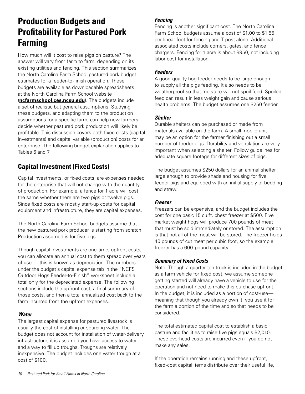# <span id="page-11-0"></span>**Production Budgets and Profitability for Pastured Pork Farming**

How much will it cost to raise pigs on pasture? The answer will vary from farm to farm, depending on its existing utilities and fencing. This section summarizes the North Carolina Farm School pastured pork budget estimates for a feeder-to-finish operation. These budgets are available as downloadable spreadsheets at the North Carolina Farm School website (**[ncfarmschool.ces.ncsu.edu](https://ncfarmschool.ces.ncsu.edu/)**). The budgets include a set of realistic but general assumptions. Studying these budgets, and adapting them to the production assumptions for a specific farm, can help new farmers decide whether pastured pork production will likely be profitable. This discussion covers both fixed costs (capital investments) and capital variable (production) costs for an enterprise. The following budget explanation applies to Tables 6 and 7.

# **Capital Investment (Fixed Costs)**

Capital investments, or fixed costs, are expenses needed for the enterprise that will not change with the quantity of production. For example, a fence for 1 acre will cost the same whether there are two pigs or twelve pigs. Since fixed costs are mostly start-up costs for capital equipment and infrastructure, they are capital expenses.

The North Carolina Farm School budgets assume that the new pastured pork producer is starting from scratch. Production assumed is for five pigs.

Though capital investments are one-time, upfront costs, you can allocate an annual cost to them spread over years of use — this is known as depreciation. The numbers under the budget's capital expense tab in the "NCFS Outdoor Hogs Feeder-to-Finish" worksheet include a total only for the depreciated expense. The following sections include the upfront cost, a final summary of those costs, and then a total annualized cost back to the farm incurred from the upfront expenses.

#### *Water*

The largest capital expense for pastured livestock is usually the cost of installing or sourcing water. The budget does not account for installation of water-delivery infrastructure; it is assumed you have access to water and a way to fill up troughs. Troughs are relatively inexpensive. The budget includes one water trough at a cost of \$100.

#### *Fencing*

Fencing is another significant cost. The North Carolina Farm School budgets assume a cost of \$1.00 to \$1.55 per linear foot for fencing and T-post alone. Additional associated costs include corners, gates, and fence chargers. Fencing for 1 acre is about \$950, not including labor cost for installation.

#### *Feeders*

A good-quality hog feeder needs to be large enough to supply all the pigs feeding. It also needs to be weatherproof so that moisture will not spoil feed. Spoiled feed can result in less weight gain and cause serious health problems. The budget assumes one \$250 feeder.

#### *Shelter*

Durable shelters can be purchased or made from materials available on the farm. A small mobile unit may be an option for the farmer finishing out a small number of feeder pigs. Durability and ventilation are very important when selecting a shelter. Follow guidelines for adequate square footage for different sizes of pigs.

The budget assumes \$250 dollars for an animal shelter large enough to provide shade and housing for five feeder pigs and equipped with an initial supply of bedding and straw.

#### *Freezer*

Freezers can be expensive, and the budget includes the cost for one basic 15 cu.ft. chest freezer at \$500. Five market weight hogs will produce 700 pounds of meat that must be sold immediately or stored. The assumption is that not all of the meat will be stored. The freezer holds 40 pounds of cut meat per cubic foot, so the example freezer has a 600-pound capacity.

#### *Summary of Fixed Costs*

Note: Though a quarter-ton truck is included in the budget as a farm vehicle for fixed cost, we assume someone getting started will already have a vehicle to use for the operation and not need to make this purchase upfront. In the budget, it is included as a portion of cost-use meaning that though you already own it, you use it for the farm a portion of the time and so that needs to be considered.

The total estimated capital cost to establish a basic pasture and facilities to raise five pigs equals \$2,010. These overhead costs are incurred even if you do not make any sales.

If the operation remains running and these upfront, fixed-cost capital items distribute over their useful life,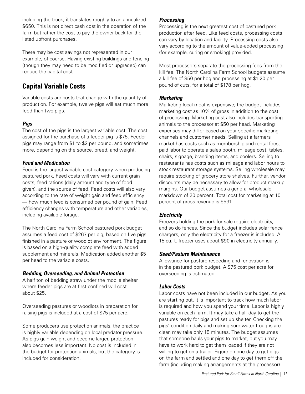<span id="page-12-0"></span>including the truck, it translates roughly to an annualized \$650. This is not direct cash cost in the operation of the farm but rather the cost to pay the owner back for the listed upfront purchases.

There may be cost savings not represented in our example, of course. Having existing buildings and fencing (though they may need to be modified or upgraded) can reduce the capital cost.

# **Capital Variable Costs**

Variable costs are costs that change with the quantity of production. For example, twelve pigs will eat much more feed than two pigs.

#### *Pigs*

The cost of the pigs is the largest variable cost. The cost assigned for the purchase of a feeder pig is \$75. Feeder pigs may range from \$1 to \$2 per pound, and sometimes more, depending on the source, breed, and weight.

#### *Feed and Medication*

Feed is the largest variable cost category when producing pastured pork. Feed costs will vary with current grain costs, feed rations (daily amount and type of food given), and the source of feed. Feed costs will also vary according to the rate of weight gain and feed efficiency — how much feed is consumed per pound of gain. Feed efficiency changes with temperature and other variables, including available forage.

The North Carolina Farm School pastured pork budget assumes a feed cost of \$267 per pig, based on five pigs finished in a pasture or woodlot environment. The figure is based on a high-quality complete feed with added supplement and minerals. Medication added another \$5 per head to the variable costs.

#### *Bedding, Overseeding, and Animal Protection*

A half ton of bedding straw under the mobile shelter where feeder pigs are at first confined will cost about \$25.

Overseeding pastures or woodlots in preparation for raising pigs is included at a cost of \$75 per acre.

Some producers use protection animals; the practice is highly variable depending on local predator pressure. As pigs gain weight and become larger, protection also becomes less important. No cost is included in the budget for protection animals, but the category is included for consideration.

#### *Processing*

Processing is the next greatest cost of pastured pork production after feed. Like feed costs, processing costs can vary by location and facility. Processing costs also vary according to the amount of value-added processing (for example, curing or smoking) provided.

Most processors separate the processing fees from the kill fee. The North Carolina Farm School budgets assume a kill fee of \$50 per hog and processing at \$1.20 per pound of cuts, for a total of \$178 per hog.

#### *Marketing*

Marketing local meat is expensive; the budget includes marketing cost as 10% of gross in addition to the cost of processing. Marketing cost also includes transporting animals to the processor at \$50 per head. Marketing expenses may differ based on your specific marketing channels and customer needs. Selling at a farmers market has costs such as membership and rental fees, paid labor to operate a sales booth, mileage cost, tables, chairs, signage, branding items, and coolers. Selling to restaurants has costs such as mileage and labor hours to stock restaurant storage systems. Selling wholesale may require stocking of grocery store shelves. Further, vendor discounts may be necessary to allow for product markup margins. Our budget assumes a general wholesale markdown of 20 percent. Total cost for marketing at 10 percent of gross revenue is \$531.

#### *Electricity*

Freezers holding the pork for sale require electricity, and so do fences. Since the budget includes solar fence chargers, only the electricity for a freezer is included. A 15 cu.ft. freezer uses about \$90 in electricity annually.

#### *Seed/Pasture Maintenance*

Allowance for pasture reseeding and renovation is in the pastured pork budget. A \$75 cost per acre for overseeding is estimated.

#### *Labor Costs*

Labor costs have not been included in our budget. As you are starting out, it is important to track how much labor is required and how you spend your time. Labor is highly variable on each farm. It may take a half day to get the pastures ready for pigs and set up shelter. Checking the pigs' condition daily and making sure water troughs are clean may take only 15 minutes. The budget assumes that someone hauls your pigs to market, but you may have to work hard to get them loaded if they are not willing to get on a trailer. Figure on one day to get pigs on the farm and settled and one day to get them off the farm (including making arrangements at the processor).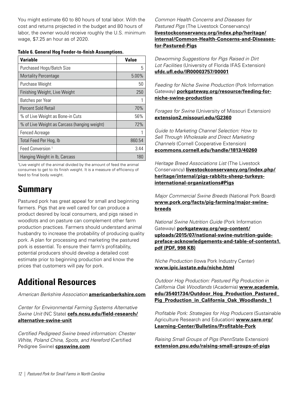<span id="page-13-0"></span>You might estimate 60 to 80 hours of total labor. With the cost and returns projected in the budget and 80 hours of labor, the owner would receive roughly the U.S. minimum wage, \$7.25 an hour as of 2020.

| Table 6. General Hog Feeder-to-finish Assumptions. |  |  |
|----------------------------------------------------|--|--|
|----------------------------------------------------|--|--|

| <b>Variable</b>                              | Value  |
|----------------------------------------------|--------|
| Purchased Hogs/Batch Size                    | 5      |
| <b>Mortality Percentage</b>                  | 5.00%  |
| Purchase Weight                              | 50     |
| Finishing Weight, Live Weight                | 250    |
| Batches per Year                             | 1      |
| Percent Sold Retail                          | 70%    |
| % of Live Weight as Bone-in Cuts             | 56%    |
| % of Live Weight as Carcass (hanging weight) | 72%    |
| <b>Fenced Acreage</b>                        |        |
| Total Feed Per Hog, Ib                       | 860.54 |
| Feed Conversion <sup>1</sup>                 | 3.44   |
| Hanging Weight in lb, Carcass                | 180    |

1 Live weight of the animal divided by the amount of feed the animal consumes to get to its finish weight. It is a measure of efficiency of feed to final body weight.

# **Summary**

Pastured pork has great appeal for small and beginning farmers. Pigs that are well cared for can produce a product desired by local consumers, and pigs raised in woodlots and on pasture can complement other farm production practices. Farmers should understand animal husbandry to increase the probability of producing quality pork. A plan for processing and marketing the pastured pork is essential. To ensure their farm's profitability, potential producers should develop a detailed cost estimate prior to beginning production and know the prices that customers will pay for pork.

# **Additional Resources**

*American Berkshire Association* **[americanberkshire.com](https://americanberkshire.com/)**

*Center for Environmental Farming Systems Alternative Swine Unit* (NC State) **[cefs.ncsu.edu/field-research/](https://cefs.ncsu.edu/field-research/alternative-swine-unit/) [alternative-swine-unit](https://cefs.ncsu.edu/field-research/alternative-swine-unit/)**

*Certified Pedigreed Swine breed information: Chester White, Poland China, Spots, and Hereford* (Certified Pedigree Swine) **[cpsswine.com](http://cpsswine.com/)**

*Common Health Concerns and Diseases for Pastured Pigs* (The Livestock Conservancy) **[livestockconservancy.org/index.php/heritage/](https://livestockconservancy.org/index.php/heritage/internal/Common-Health-Concerns-and-Diseases-for-Pastured-Pigs) [internal/Common-Health-Concerns-and-Diseases](https://livestockconservancy.org/index.php/heritage/internal/Common-Health-Concerns-and-Diseases-for-Pastured-Pigs)[for-Pastured-Pigs](https://livestockconservancy.org/index.php/heritage/internal/Common-Health-Concerns-and-Diseases-for-Pastured-Pigs)**

*Deworming Suggestions for Pigs Raised in Dirt Lot Facilities* (University of Florida IFAS Extension) **[ufdc.ufl.edu/IR00003757/00001](https://ufdc.ufl.edu/IR00003757/00001)**

*Feeding for Niche Swine Production* (Pork Information Gateway) **[porkgateway.org/resource/feeding-for](http://porkgateway.org/resource/feeding-for-niche-swine-production/)[niche-swine-production](http://porkgateway.org/resource/feeding-for-niche-swine-production/)**

*Forages for Swine* (University of Missouri Extension) **[extension2.missouri.edu/G2360](https://extension2.missouri.edu/G2360)**

*Guide to Marketing Channel Selection: How to Sell Through Wholesale and Direct Marketing Channels* (Cornell Cooperative Extension) **[ecommons.cornell.edu/handle/1813/40260](https://ecommons.cornell.edu/handle/1813/40260)**

*Heritage Breed Associations List* (The Livestock Conservancy) **[livestockconservancy.org/index.php/](https://livestockconservancy.org/index.php/heritage/internal/pigs-rabbits-sheep-turkeys-international-organizations#Pigs) [heritage/internal/pigs-rabbits-sheep-turkeys](https://livestockconservancy.org/index.php/heritage/internal/pigs-rabbits-sheep-turkeys-international-organizations#Pigs)[international-organizations#Pigs](https://livestockconservancy.org/index.php/heritage/internal/pigs-rabbits-sheep-turkeys-international-organizations#Pigs)**

*Major Commercial Swine Breeds* (National Pork Board) **[www.pork.org/facts/pig-farming/major-swine](https://www.pork.org/facts/pig-farming/major-swine-breeds/)[breeds](https://www.pork.org/facts/pig-farming/major-swine-breeds/)**

*National Swine Nutrition Guide* (Pork Information Gateway) **[porkgateway.org/wp-content/](http://porkgateway.org/wp-content/uploads/2015/07/national-swine-nutrition-guide-preface-acknowledgements-and-table-of-contents1.pdf) [uploads/2015/07/national-swine-nutrition-guide](http://porkgateway.org/wp-content/uploads/2015/07/national-swine-nutrition-guide-preface-acknowledgements-and-table-of-contents1.pdf)[preface-acknowledgements-and-table-of-contents1.](http://porkgateway.org/wp-content/uploads/2015/07/national-swine-nutrition-guide-preface-acknowledgements-and-table-of-contents1.pdf) [pdf](http://porkgateway.org/wp-content/uploads/2015/07/national-swine-nutrition-guide-preface-acknowledgements-and-table-of-contents1.pdf) (PDF, 998 KB)**

*Niche Production* (Iowa Pork Industry Center) **[www.ipic.iastate.edu/niche.html](https://www.ipic.iastate.edu/niche.html)**

*Outdoor Hog Production: Pastured Pig Production in California Oak Woodlands* (Academia) **[www.academia.](https://www.academia.edu/35401734/Outdoor_Hog_Production_Pastured_Pig_Production_in_California_Oak_Woodlands_1) [edu/35401734/Outdoor\\_Hog\\_Production\\_Pastured\\_](https://www.academia.edu/35401734/Outdoor_Hog_Production_Pastured_Pig_Production_in_California_Oak_Woodlands_1) [Pig\\_Production\\_in\\_California\\_Oak\\_Woodlands\\_1](https://www.academia.edu/35401734/Outdoor_Hog_Production_Pastured_Pig_Production_in_California_Oak_Woodlands_1)**

*Profitable Pork: Strategies for Hog Producers* (Sustainable Agriculture Research and Education) **[www.sare.org/](https://www.sare.org/Learning-Center/Bulletins/Profitable-Pork) [Learning-Center/Bulletins/Profitable-Pork](https://www.sare.org/Learning-Center/Bulletins/Profitable-Pork)**

*Raising Small Groups of Pigs* (PennState Extension) **[extension.psu.edu/raising-small-groups-of-pigs](https://extension.psu.edu/raising-small-groups-of-pigs)**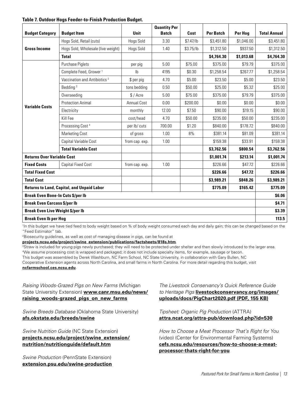#### **Table 7. Outdoor Hogs Feeder-to-Finish Production Budget.**

| <b>Budget Category</b>                                                    | <b>Budget Item</b>                       | Unit               | <b>Quantity Per</b><br><b>Batch</b> | Cost      | <b>Per Batch</b> | Per Hog    | <b>Total Annual</b> |
|---------------------------------------------------------------------------|------------------------------------------|--------------------|-------------------------------------|-----------|------------------|------------|---------------------|
|                                                                           | Hogs Sold, Retail (cuts)                 | Hogs Sold          | 3.30                                | \$7.47/lb | \$3,451.80       | \$1,046.00 | \$3,451.80          |
| <b>Gross Income</b>                                                       | Hogs Sold, Wholesale (live weight)       | Hogs Sold          | 1.40                                | \$3.75/lb | \$1,312.50       | \$937.50   | \$1,312.50          |
|                                                                           | <b>Total</b>                             |                    |                                     |           | \$4,764.30       | \$1,013.68 | \$4,764.30          |
|                                                                           | Purchase Piglets                         | per pig            | 5.00                                | \$75.00   | \$375.00         | \$79.79    | \$375.00            |
|                                                                           | Complete Feed, Grower <sup>1</sup>       | $\mathsf{I}$       | 4195                                | \$0.30    | \$1,258.54       | \$267.77   | \$1,258.54          |
|                                                                           | Vaccination and Antibiotics <sup>2</sup> | \$ per pig         | 4.70                                | \$5.00    | \$23.50          | \$5.00     | \$23.50             |
|                                                                           | Bedding <sup>3</sup>                     | tons bedding       | 0.50                                | \$50.00   | \$25.00          | \$5.32     | \$25.00             |
|                                                                           | Overseeding                              | \$/Acre            | 5.00                                | \$75.00   | \$375.00         | \$79.79    | \$375.00            |
| <b>Variable Costs</b>                                                     | <b>Protection Animal</b>                 | <b>Annual Cost</b> | 0.00                                | \$200.00  | \$0.00           | \$0.00     | \$0.00              |
|                                                                           | Electricity                              | monthly            | 12.00                               | \$7.50    | \$90.00          | \$19.15    | \$90.00             |
|                                                                           | Kill Fee                                 | cost/head          | 4.70                                | \$50.00   | \$235.00         | \$50.00    | \$235.00            |
|                                                                           | Processing Cost <sup>4</sup>             | per lb/ cuts       | 700.00                              | \$1.20    | \$840.00         | \$178.72   | \$840.00            |
|                                                                           | <b>Marketing Cost</b>                    | of gross           | 1.00                                | 8%        | \$381.14         | \$81.09    | \$381.14            |
|                                                                           | Capital Variable Cost                    | from cap. exp.     | 1.00                                |           | \$159.38         | \$33.91    | \$159.38            |
|                                                                           | <b>Total Variable Cost</b>               |                    |                                     |           | \$3,762.56       | \$800.54   | \$3,762.56          |
| <b>Returns Over Variable Cost</b>                                         |                                          |                    |                                     |           | \$1,001.74       | \$213.14   | \$1,001.74          |
| <b>Fixed Costs</b>                                                        | <b>Capital Fixed Cost</b>                | from cap. exp.     | 1.00                                |           | \$226.66         | \$47.72    | \$226.66            |
| <b>Total Fixed Cost</b>                                                   |                                          |                    |                                     |           | \$226.66         | \$47.72    | \$226.66            |
| <b>Total Cost</b>                                                         |                                          |                    |                                     |           | \$3,989.21       | \$848.26   | \$3,989.21          |
| <b>Returns to Land, Capital, and Unpaid Labor</b><br>\$775.09<br>\$165.42 |                                          |                    |                                     |           |                  |            | \$775.09            |
| <b>Break Even Bone-In Cuts \$/per lb</b>                                  |                                          |                    |                                     |           |                  |            | \$6.06              |
| <b>Break Even Carcass \$/per lb</b>                                       |                                          |                    |                                     |           |                  | \$4.71     |                     |
| <b>Break Even Live Weight \$/per lb</b>                                   |                                          |                    |                                     |           |                  |            | \$3.39              |
| <b>Break Even Ib per Hog</b>                                              |                                          |                    |                                     |           |                  |            | 113.5               |

1 In this budget we have tied feed to body weight based on % of body weight consumed each day and daily gain; this can be changed based on the "Feed Estimator" tab.

2Biosecurity guidelines, as well as cost of managing disease in pigs, can be found at

**[projects.ncsu.edu/project/swine\\_extension/publications/factsheets/818s.htm](https://projects.ncsu.edu/project/swine_extension/publications/factsheets/818s.htm)**.

<sup>3</sup>Straw is included for young pigs newly purchased; they will need to be protected under shelter and then slowly introduced to the larger area. 4We assume processing cost is wrapped and packaged; it does not include specialty items, for example, sausage or bacon.

This budget was assembled by Derek Washburn, NC Farm School, NC State University, in collaboration with Gary Bullen, NC

Cooperative Extension agents across North Carolina, and small farms in North Carolina. For more detail regarding this budget, visit **[ncfarmschool.ces.ncsu.edu](https://ncfarmschool.ces.ncsu.edu/)**.

*Raising Woods-Grazed Pigs on New Farms* (Michigan State University Extension) **[www.canr.msu.edu/news/](https://www.canr.msu.edu/news/raising_woods-grazed_pigs_on_new_farms) [raising\\_woods-grazed\\_pigs\\_on\\_new\\_farms](https://www.canr.msu.edu/news/raising_woods-grazed_pigs_on_new_farms)**

*Swine Breeds Database* (Oklahoma State University) **[afs.okstate.edu/breeds/swine](http://afs.okstate.edu/breeds/swine/)**

*Swine Nutrition Guide* (NC State Extension) **[projects.ncsu.edu/project/swine\\_extension/](https://projects.ncsu.edu/project/swine_extension/nutrition/nutritionguide/default.htm) [nutrition/nutritionguide/default.htm](https://projects.ncsu.edu/project/swine_extension/nutrition/nutritionguide/default.htm)**

*Swine Production* (PennState Extension) **[extension.psu.edu/swine-production](https://extension.psu.edu/swine-production)**

*The Livestock Conservancy's Quick Reference Guide to Heritage Pigs* **[livestockconservancy.org/images/](https://livestockconservancy.org/images/uploads/docs/PigChart2020.pdf) [uploads/docs/PigChart2020.pdf](https://livestockconservancy.org/images/uploads/docs/PigChart2020.pdf) (PDF, 155 KB)**

*Tipsheet: Organic Pig Production* (ATTRA) **[attra.ncat.org/attra-pub/download.php?id=530](https://attra.ncat.org/attra-pub/download.php?id=530)**

*How to Choose a Meat Processor That's Right for You* (video) (Center for Environmental Farming Systems) **[cefs.ncsu.edu/resources/how-to-choose-a-meat](https://cefs.ncsu.edu/resources/how-to-choose-a-meat-processor-thats-right-for-you/)[processor-thats-right-for-you](https://cefs.ncsu.edu/resources/how-to-choose-a-meat-processor-thats-right-for-you/)**